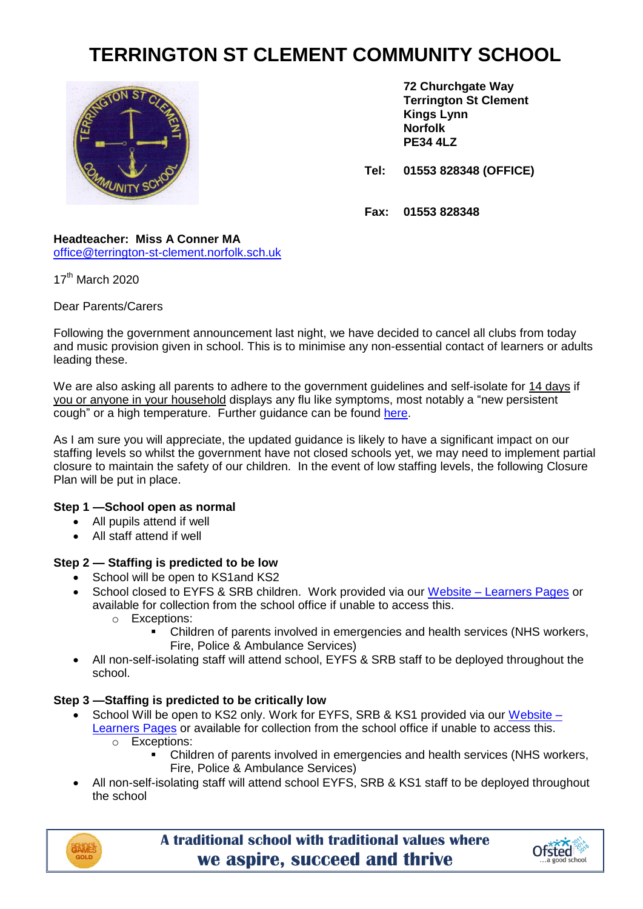# **TERRINGTON ST CLEMENT COMMUNITY SCHOOL**



**72 Churchgate Way Terrington St Clement Kings Lynn Norfolk PE34 4LZ**

**Tel: 01553 828348 (OFFICE)**

**Fax: 01553 828348**

#### **Headteacher: Miss A Conner MA** [office@terrington-st-clement.norfolk.sch.uk](mailto:office@terrington-st-clement.norfolk.sch.uk)

17<sup>th</sup> March 2020

## Dear Parents/Carers

Following the government announcement last night, we have decided to cancel all clubs from today and music provision given in school. This is to minimise any non-essential contact of learners or adults leading these.

We are also asking all parents to adhere to the government guidelines and self-isolate for 14 days if you or anyone in your household displays any flu like symptoms, most notably a "new persistent cough" or a high temperature. Further guidance can be found [here.](https://www.gov.uk/government/publications/covid-19-stay-at-home-guidance/stay-at-home-guidance-for-households-with-possible-coronavirus-covid-19-infection)

As I am sure you will appreciate, the updated guidance is likely to have a significant impact on our staffing levels so whilst the government have not closed schools yet, we may need to implement partial closure to maintain the safety of our children. In the event of low staffing levels, the following Closure Plan will be put in place.

# **Step 1 —School open as normal**

- All pupils attend if well
- All staff attend if well

# **Step 2 — Staffing is predicted to be low**

- School will be open to KS1 and KS2
- School closed to EYFS & SRB children. Work provided via our Website [Learners Pages](https://www.terringtonstclementschool.co.uk/page/?title=Learners&pid=219) or available for collection from the school office if unable to access this.
	- o Exceptions:
		- Children of parents involved in emergencies and health services (NHS workers, Fire, Police & Ambulance Services)
- All non-self-isolating staff will attend school, EYFS & SRB staff to be deployed throughout the school.

# **Step 3 —Staffing is predicted to be critically low**

- School Will be open to KS2 only. Work for EYFS, SRB & KS1 provided via our [Website](https://www.terringtonstclementschool.co.uk/page/?title=Learners&pid=219) -[Learners Pages](https://www.terringtonstclementschool.co.uk/page/?title=Learners&pid=219) or available for collection from the school office if unable to access this. o Exceptions:
	- Children of parents involved in emergencies and health services (NHS workers, Fire, Police & Ambulance Services)
- All non-self-isolating staff will attend school EYFS, SRB & KS1 staff to be deployed throughout the school



**A traditional school with traditional values where we aspire, succeed and thrive**